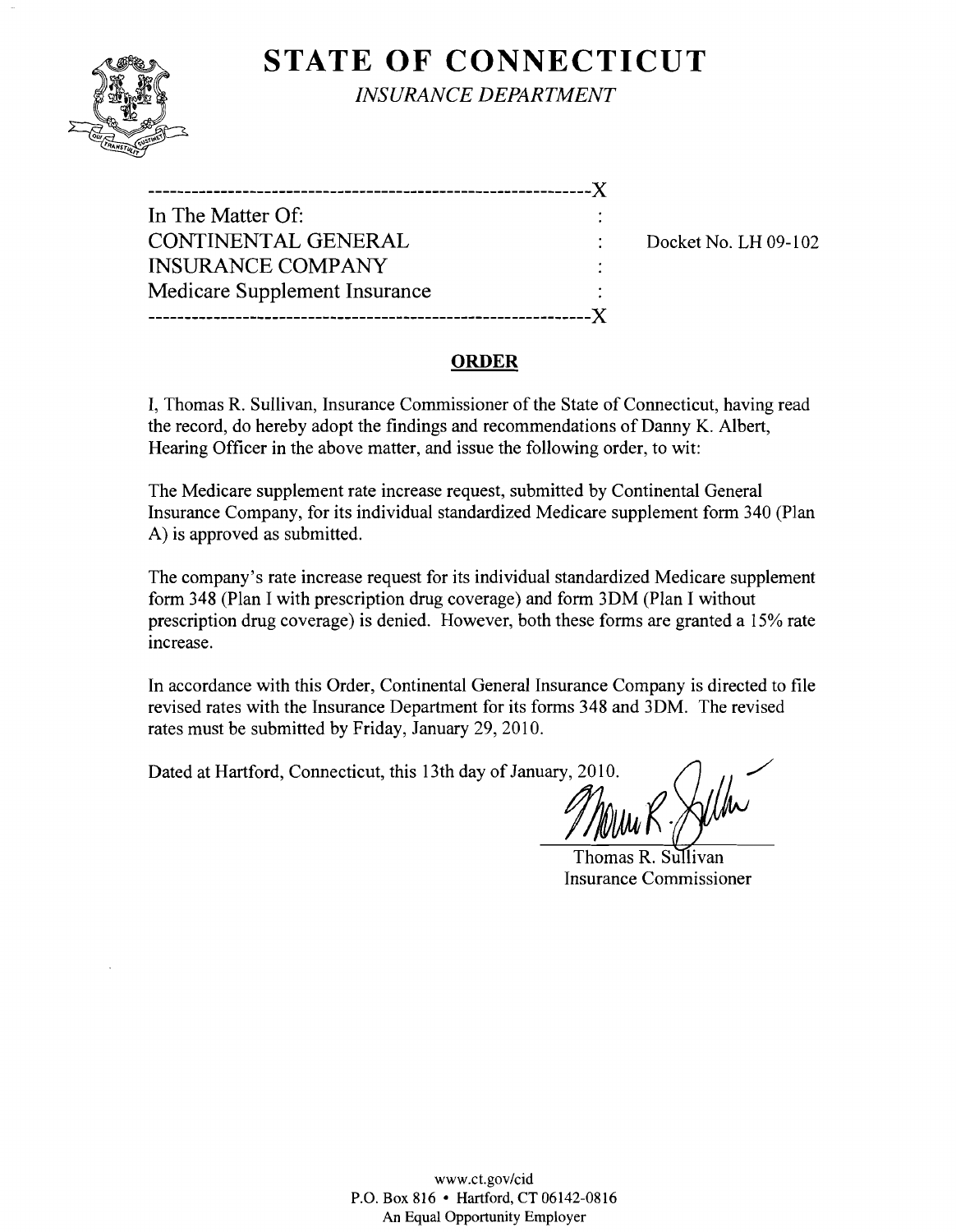# **STATE OF CONNECTICUT**



*INSURANCE DEPARTMENT* 

| In The Matter Of:             |          |
|-------------------------------|----------|
| CONTINENTAL GENERAL           | Docket N |
| <b>INSURANCE COMPANY</b>      |          |
| Medicare Supplement Insurance |          |
|                               |          |
|                               |          |

 $\sqrt{6}$ . LH 09-102

### **ORDER**

I, Thomas R. Sullivan, Insurance Commissioner of the State of Connecticut, having read the record, do hereby adopt the findings and recommendations of Danny K. Albert, Hearing Officer in the above matter, and issue the following order, to wit:

The Medicare supplement rate increase request, submitted by Continental General Insurance Company, for its individual standardized Medicare supplement form 340 (Plan A) is approved as submitted.

The company's rate increase request for its individual standardized Medicare supplement form 348 (Plan I with prescription drug coverage) and form 3DM (Plan I without prescription drug coverage) is denied. However, both these forms are granted a 15% rate increase.

In accordance with this Order, Continental General Insurance Company is directed to file revised rates with the Insurance Department for its forms 348 and 3DM. The revised rates must be submitted by Friday, January 29, 2010.

Dated at Hartford, Connecticut, this 13th day of January, 2010.

Mary K.

Thomas R. Sullivan Insurance Commissioner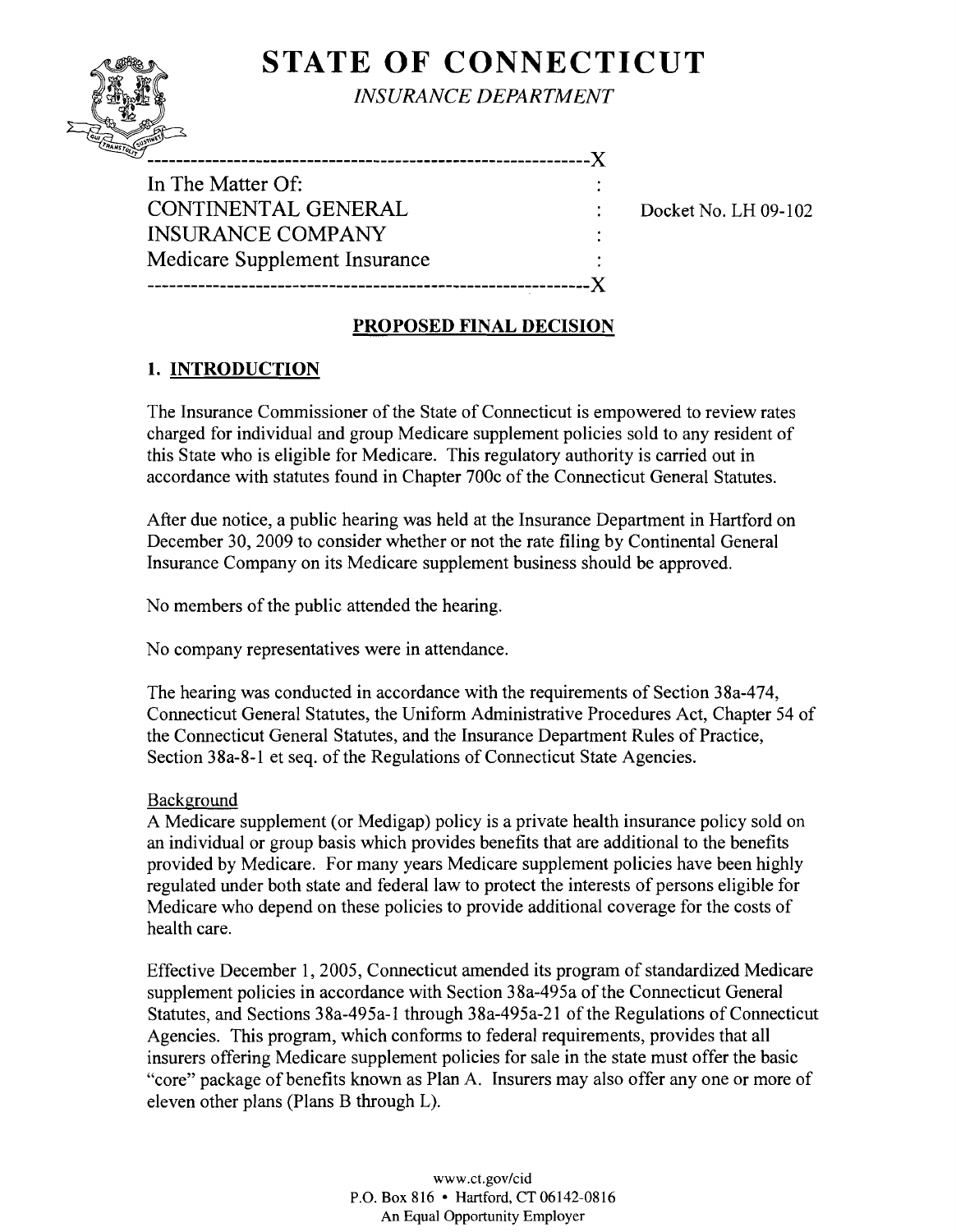# **STATE OF CONNECTICUT**



*INSURANCE DEPARTMENT* 

| In The Matter Of:             |  |
|-------------------------------|--|
| CONTINENTAL GENERAL           |  |
| <b>INSURANCE COMPANY</b>      |  |
| Medicare Supplement Insurance |  |
|                               |  |

Docket No. LH 09-102

# **PROPOSED FINAL DECISION**

# **1. INTRODUCTION**

The Insurance Commissioner of the State of Connecticut is empowered to review rates charged for individual and group Medicare supplement policies sold to any resident of this State who is eligible for Medicare. This regulatory authority is carried out in accordance with statutes found in Chapter 700c of the Connecticut General Statutes.

After due notice, a public hearing was held at the Insurance Department in Hartford on December 30, 2009 to consider whether or not the rate filing by Continental General Insurance Company on its Medicare supplement business should be approved.

No members of the public attended the hearing.

No company representatives were in attendance.

The hearing was conducted in accordance with the requirements of Section 38a-474, Connecticut General Statutes, the Uniform Administrative Procedures Act, Chapter 54 of the Connecticut General Statutes, and the Insurance Department Rules of Practice, Section 38a-8-1 et seq. of the Regulations of Connecticut State Agencies.

#### Background

A Medicare supplement (or Medigap) policy is a private health insurance policy sold on an individual or group basis which provides benefits that are additional to the benefits provided by Medicare. For many years Medicare supplement policies have been highly regulated under both state and federal law to protect the interests of persons eligible for Medicare who depend on these policies to provide additional coverage for the costs of health care.

Effective December 1,2005, Connecticut amended its program of standardized Medicare supplement policies in accordance with Section 38a-495a of the Connecticut General Statutes, and Sections 38a-495a-l through 38a-495a-21 of the Regulations of Connecticut Agencies. This program, which conforms to federal requirements, provides that all insurers offering Medicare supplement policies for sale in the state must offer the basic "core" package of benefits known as Plan A. Insurers may also offer anyone or more of eleven other plans (Plans B through L).

> www.ct.gov/cid P.O. Box 816 • Hartford, CT 06142-0816 An Equal Opportunity Employer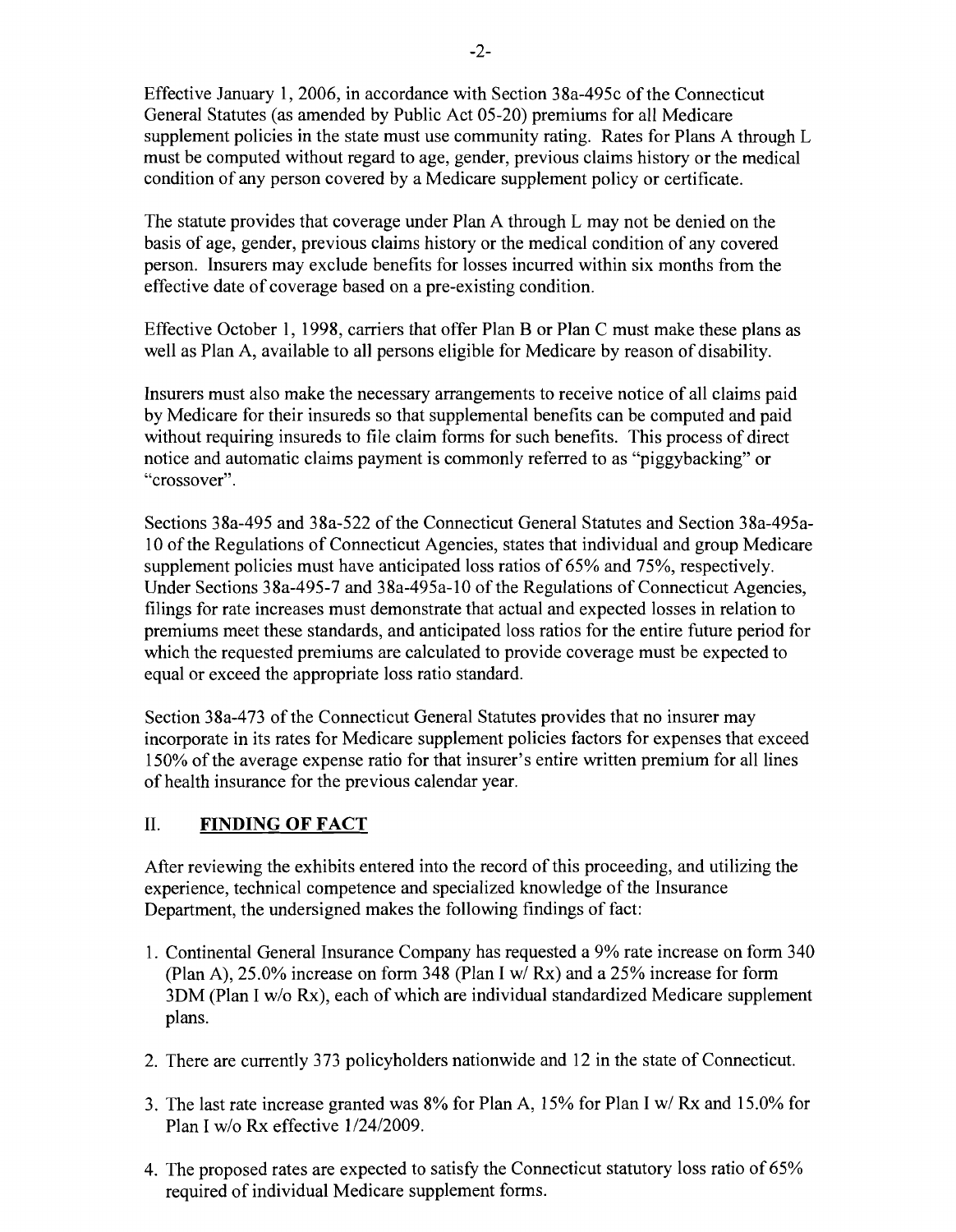Effective January 1,2006, in accordance with Section 38a-495c of the Connecticut General Statutes (as amended by Public Act 05-20) premiums for all Medicare supplement policies in the state must use community rating. Rates for Plans A through L must be computed without regard to age, gender, previous claims history or the medical condition of any person covered by a Medicare supplement policy or certificate.

The statute provides that coverage under Plan A through L may not be denied on the basis of age, gender, previous claims history or the medical condition of any covered person. Insurers may exclude benefits for losses incurred within six months from the effective date of coverage based on a pre-existing condition.

Effective October I, 1998, carriers that offer Plan B or Plan C must make these plans as well as Plan A, available to all persons eligible for Medicare by reason of disability.

Insurers must also make the necessary arrangements to receive notice of all claims paid by Medicare for their insureds so that supplemental benefits can be computed and paid without requiring insureds to file claim forms for such benefits. This process of direct notice and automatic claims payment is commonly referred to as "piggybacking" or "crossover".

Sections 38a-495 and 38a-522 of the Connecticut General Statutes and Section 38a-495a-10 ofthe Regulations of Connecticut Agencies, states that individual and group Medicare supplement policies must have anticipated loss ratios of 65% and 75%, respectively. Under Sections 38a-495-7 and 38a-495a-l 0 of the Regulations of Connecticut Agencies, filings for rate increases must demonstrate that actual and expected losses in relation to premiums meet these standards, and anticipated loss ratios for the entire future period for which the requested premiums are calculated to provide coverage must be expected to equal or exceed the appropriate loss ratio standard.

Section 38a-473 of the Connecticut General Statutes provides that no insurer may incorporate in its rates for Medicare supplement policies factors for expenses that exceed 150% of the average expense ratio for that insurer's entire written premium for all lines of health insurance for the previous calendar year.

# II. **FINDING OF FACT**

After reviewing the exhibits entered into the record of this proceeding, and utilizing the experience, technical competence and specialized knowledge of the Insurance Department, the undersigned makes the following findings of fact:

- 1. Continental General Insurance Company has requested a 9% rate increase on form 340 (Plan A), 25.0% increase on form 348 (Plan I *wi* Rx) and a 25% increase for form 30M (Plan I *wlo* Rx), each of which are individual standardized Medicare supplement plans.
- 2. There are currently 373 policyholders nationwide and 12 in the state of Connecticut.
- 3. The last rate increase granted was 8% for Plan A, 15% for Plan I *wi* Rx and 15.0% for Plan I *wlo* Rx effective *1/24/2009.*
- 4. The proposed rates are expected to satisfy the Connecticut statutory loss ratio of 65% required of individual Medicare supplement forms.